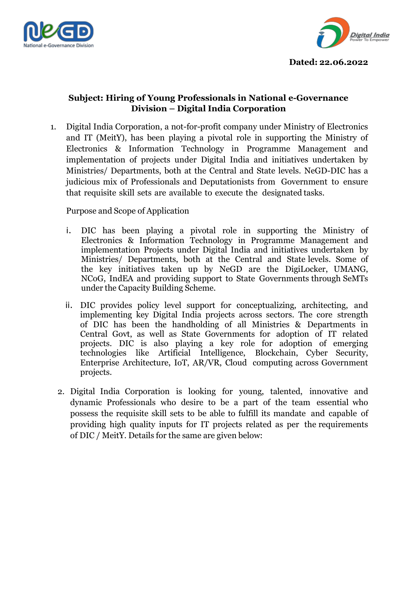



## **Subject: Hiring of Young Professionals in National e-Governance Division – Digital India Corporation**

1. Digital India Corporation, a not-for-profit company under Ministry of Electronics and IT (MeitY), has been playing a pivotal role in supporting the Ministry of Electronics & Information Technology in Programme Management and implementation of projects under Digital India and initiatives undertaken by Ministries/ Departments, both at the Central and State levels. NeGD-DIC has a judicious mix of Professionals and Deputationists from Government to ensure that requisite skill sets are available to execute the designated tasks.

Purpose and Scope of Application

- i. DIC has been playing a pivotal role in supporting the Ministry of Electronics & Information Technology in Programme Management and implementation Projects under Digital India and initiatives undertaken by Ministries/ Departments, both at the Central and State levels. Some of the key initiatives taken up by NeGD are the DigiLocker, UMANG, NCoG, IndEA and providing support to State Governments through SeMTs under the Capacity Building Scheme.
- ii. DIC provides policy level support for conceptualizing, architecting, and implementing key Digital India projects across sectors. The core strength of DIC has been the handholding of all Ministries & Departments in Central Govt, as well as State Governments for adoption of IT related projects. DIC is also playing a key role for adoption of emerging technologies like Artificial Intelligence, Blockchain, Cyber Security, Enterprise Architecture, IoT, AR/VR, Cloud computing across Government projects.
- 2. Digital India Corporation is looking for young, talented, innovative and dynamic Professionals who desire to be a part of the team essential who possess the requisite skill sets to be able to fulfill its mandate and capable of providing high quality inputs for IT projects related as per the requirements of DIC / MeitY. Details for the same are given below: